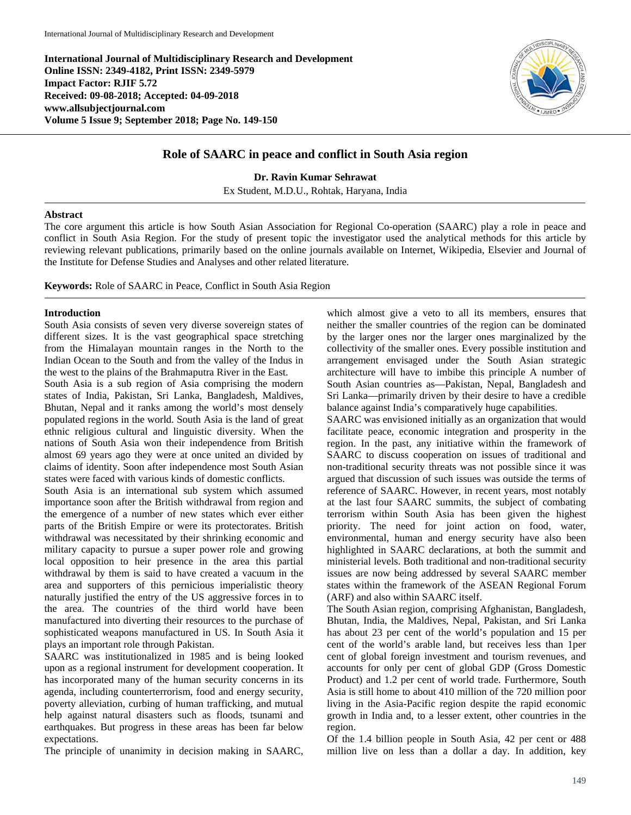**International Journal of Multidisciplinary Research and Development Online ISSN: 2349-4182, Print ISSN: 2349-5979 Impact Factor: RJIF 5.72 Received: 09-08-2018; Accepted: 04-09-2018 www.allsubjectjournal.com Volume 5 Issue 9; September 2018; Page No. 149-150**



## **Role of SAARC in peace and conflict in South Asia region**

**Dr. Ravin Kumar Sehrawat**

Ex Student, M.D.U., Rohtak, Haryana, India

## **Abstract**

The core argument this article is how South Asian Association for Regional Co-operation (SAARC) play a role in peace and conflict in South Asia Region. For the study of present topic the investigator used the analytical methods for this article by reviewing relevant publications, primarily based on the online journals available on Internet, Wikipedia, Elsevier and Journal of the Institute for Defense Studies and Analyses and other related literature.

**Keywords:** Role of SAARC in Peace, Conflict in South Asia Region

## **Introduction**

South Asia consists of seven very diverse sovereign states of different sizes. It is the vast geographical space stretching from the Himalayan mountain ranges in the North to the Indian Ocean to the South and from the valley of the Indus in the west to the plains of the Brahmaputra River in the East.

South Asia is a sub region of Asia comprising the modern states of India, Pakistan, Sri Lanka, Bangladesh, Maldives, Bhutan, Nepal and it ranks among the world's most densely populated regions in the world. South Asia is the land of great ethnic religious cultural and linguistic diversity. When the nations of South Asia won their independence from British almost 69 years ago they were at once united an divided by claims of identity. Soon after independence most South Asian states were faced with various kinds of domestic conflicts.

South Asia is an international sub system which assumed importance soon after the British withdrawal from region and the emergence of a number of new states which ever either parts of the British Empire or were its protectorates. British withdrawal was necessitated by their shrinking economic and military capacity to pursue a super power role and growing local opposition to heir presence in the area this partial withdrawal by them is said to have created a vacuum in the area and supporters of this pernicious imperialistic theory naturally justified the entry of the US aggressive forces in to the area. The countries of the third world have been manufactured into diverting their resources to the purchase of sophisticated weapons manufactured in US. In South Asia it plays an important role through Pakistan.

SAARC was institutionalized in 1985 and is being looked upon as a regional instrument for development cooperation. It has incorporated many of the human security concerns in its agenda, including counterterrorism, food and energy security, poverty alleviation, curbing of human trafficking, and mutual help against natural disasters such as floods, tsunami and earthquakes. But progress in these areas has been far below expectations.

The principle of unanimity in decision making in SAARC,

which almost give a veto to all its members, ensures that neither the smaller countries of the region can be dominated by the larger ones nor the larger ones marginalized by the collectivity of the smaller ones. Every possible institution and arrangement envisaged under the South Asian strategic architecture will have to imbibe this principle A number of South Asian countries as—Pakistan, Nepal, Bangladesh and Sri Lanka—primarily driven by their desire to have a credible balance against India's comparatively huge capabilities.

SAARC was envisioned initially as an organization that would facilitate peace, economic integration and prosperity in the region. In the past, any initiative within the framework of SAARC to discuss cooperation on issues of traditional and non-traditional security threats was not possible since it was argued that discussion of such issues was outside the terms of reference of SAARC. However, in recent years, most notably at the last four SAARC summits, the subject of combating terrorism within South Asia has been given the highest priority. The need for joint action on food, water, environmental, human and energy security have also been highlighted in SAARC declarations, at both the summit and ministerial levels. Both traditional and non-traditional security issues are now being addressed by several SAARC member states within the framework of the ASEAN Regional Forum (ARF) and also within SAARC itself.

The South Asian region, comprising Afghanistan, Bangladesh, Bhutan, India, the Maldives, Nepal, Pakistan, and Sri Lanka has about 23 per cent of the world's population and 15 per cent of the world's arable land, but receives less than 1per cent of global foreign investment and tourism revenues, and accounts for only per cent of global GDP (Gross Domestic Product) and 1.2 per cent of world trade. Furthermore, South Asia is still home to about 410 million of the 720 million poor living in the Asia-Pacific region despite the rapid economic growth in India and, to a lesser extent, other countries in the region.

Of the 1.4 billion people in South Asia, 42 per cent or 488 million live on less than a dollar a day. In addition, key